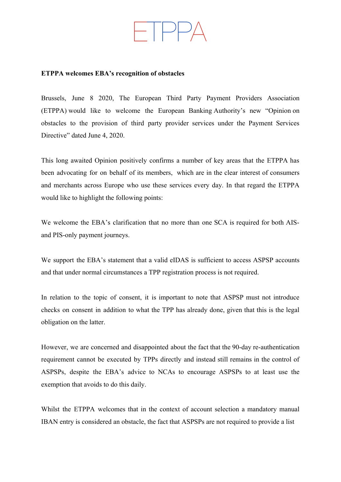## FTPPA

## **ETPPA welcomes EBA's recognition of obstacles**

Brussels, June 8 2020, The European Third Party Payment Providers Association (ETPPA) would like to welcome the European Banking Authority's new "Opinion on obstacles to the provision of third party provider services under the Payment Services Directive" dated June 4, 2020.

This long awaited Opinion positively confirms a number of key areas that the ETPPA has been advocating for on behalf of its members, which are in the clear interest of consumers and merchants across Europe who use these services every day. In that regard the ETPPA would like to highlight the following points:

We welcome the EBA's clarification that no more than one SCA is required for both AISand PIS-only payment journeys.

We support the EBA's statement that a valid eIDAS is sufficient to access ASPSP accounts and that under normal circumstances a TPP registration process is not required.

In relation to the topic of consent, it is important to note that ASPSP must not introduce checks on consent in addition to what the TPP has already done, given that this is the legal obligation on the latter.

However, we are concerned and disappointed about the fact that the 90-day re-authentication requirement cannot be executed by TPPs directly and instead still remains in the control of ASPSPs, despite the EBA's advice to NCAs to encourage ASPSPs to at least use the exemption that avoids to do this daily.

Whilst the ETPPA welcomes that in the context of account selection a mandatory manual IBAN entry is considered an obstacle, the fact that ASPSPs are not required to provide a list